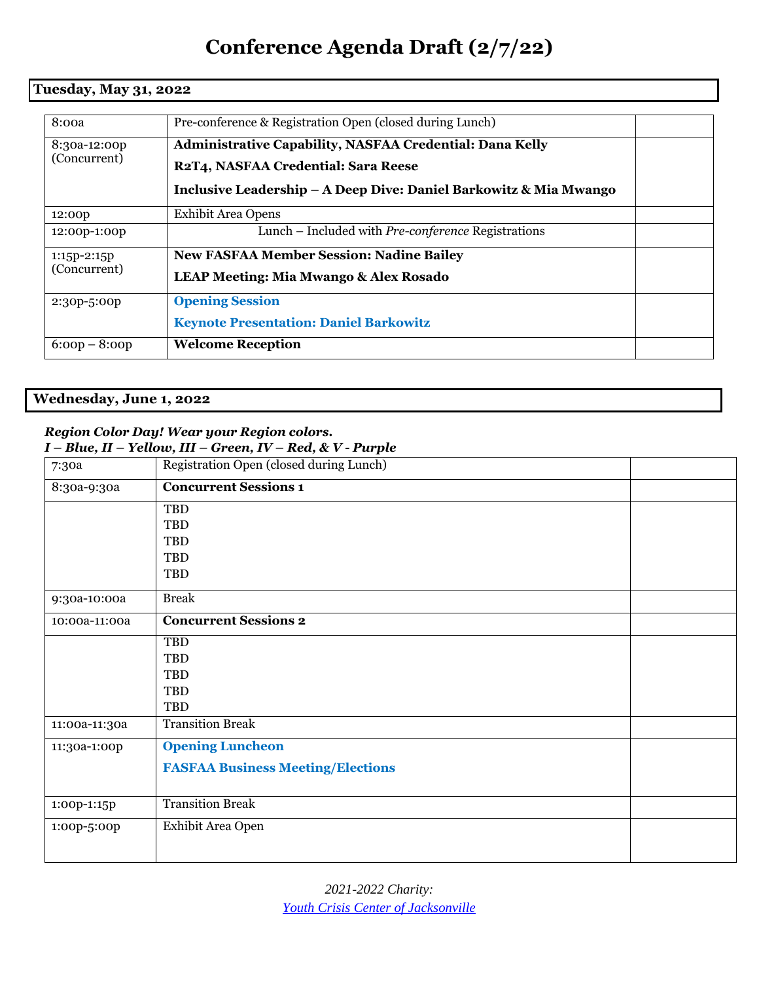# **Conference Agenda Draft (2/7/22)**

### **Tuesday, May 31, 2022**

| 8:00a                         | Pre-conference & Registration Open (closed during Lunch)                                                                                                                    |  |
|-------------------------------|-----------------------------------------------------------------------------------------------------------------------------------------------------------------------------|--|
| 8:30a-12:00p<br>(Concurrent)  | <b>Administrative Capability, NASFAA Credential: Dana Kelly</b><br>R2T4, NASFAA Credential: Sara Reese<br>Inclusive Leadership - A Deep Dive: Daniel Barkowitz & Mia Mwango |  |
| 12:00p                        | Exhibit Area Opens                                                                                                                                                          |  |
| 12:00p-1:00p                  | Lunch – Included with Pre-conference Registrations                                                                                                                          |  |
| $1:15p-2:15p$<br>(Concurrent) | <b>New FASFAA Member Session: Nadine Bailey</b><br><b>LEAP Meeting: Mia Mwango &amp; Alex Rosado</b>                                                                        |  |
| 2:30p-5:00p                   | <b>Opening Session</b><br><b>Keynote Presentation: Daniel Barkowitz</b>                                                                                                     |  |
| $6:00p - 8:00p$               | <b>Welcome Reception</b>                                                                                                                                                    |  |

## **Wednesday, June 1, 2022**

#### *Region Color Day! Wear your Region colors.*

|               | $I - Blue, II - Yellow, III - Green, IV - Red, & V - Purple$ |  |  |
|---------------|--------------------------------------------------------------|--|--|
| 7:30a         | Registration Open (closed during Lunch)                      |  |  |
| 8:30a-9:30a   | <b>Concurrent Sessions 1</b>                                 |  |  |
|               | TBD                                                          |  |  |
|               | TBD                                                          |  |  |
|               | TBD                                                          |  |  |
|               | <b>TBD</b>                                                   |  |  |
|               | <b>TBD</b>                                                   |  |  |
| 9:30a-10:00a  | <b>Break</b>                                                 |  |  |
| 10:00a-11:00a | <b>Concurrent Sessions 2</b>                                 |  |  |
|               | <b>TBD</b>                                                   |  |  |
|               | TBD                                                          |  |  |
|               | <b>TBD</b>                                                   |  |  |
|               | TBD                                                          |  |  |
|               | TBD                                                          |  |  |
| 11:00a-11:30a | <b>Transition Break</b>                                      |  |  |
| 11:30a-1:00p  | <b>Opening Luncheon</b>                                      |  |  |
|               | <b>FASFAA Business Meeting/Elections</b>                     |  |  |
|               |                                                              |  |  |
| 1:00p-1:15p   | <b>Transition Break</b>                                      |  |  |
| 1:00p-5:00p   | Exhibit Area Open                                            |  |  |
|               |                                                              |  |  |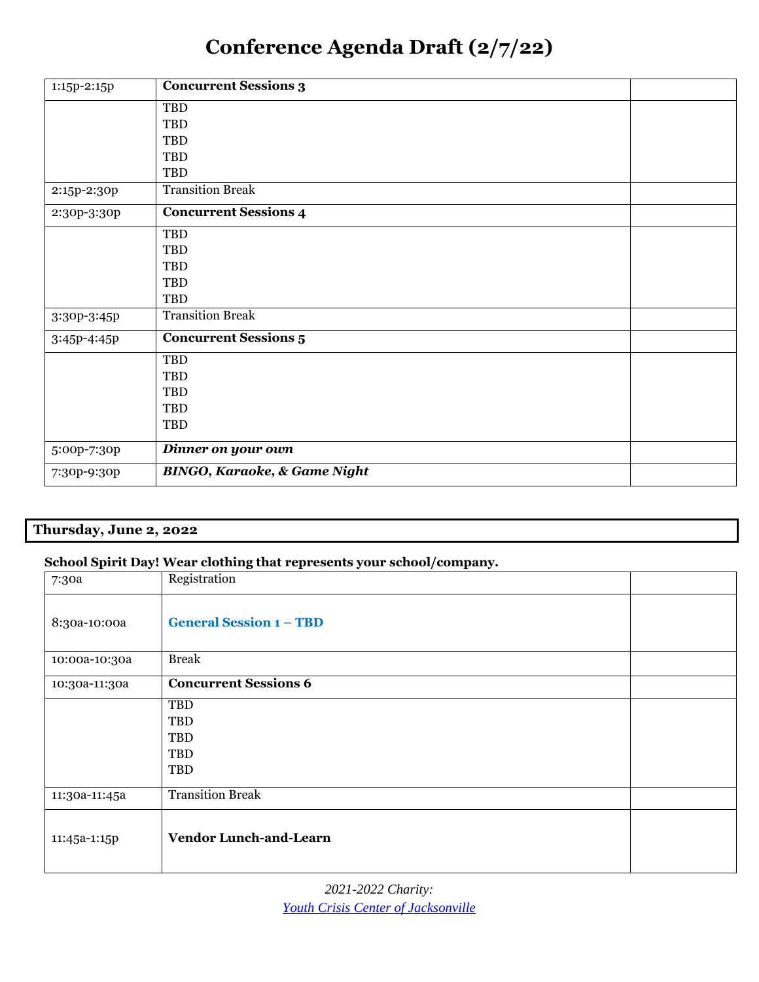# **Conference Agenda Draft (2/7/22)**

| 1:15p-2:15p | <b>Concurrent Sessions 3</b>            |  |
|-------------|-----------------------------------------|--|
|             | TBD                                     |  |
|             | TBD                                     |  |
|             | TBD                                     |  |
|             | TBD                                     |  |
|             | TBD                                     |  |
| 2:15p-2:30p | <b>Transition Break</b>                 |  |
| 2:30p-3:30p | <b>Concurrent Sessions 4</b>            |  |
|             | TBD                                     |  |
|             | TBD                                     |  |
|             | TBD                                     |  |
|             | TBD                                     |  |
|             | TBD                                     |  |
| 3:30p-3:45p | <b>Transition Break</b>                 |  |
| 3:45p-4:45p | <b>Concurrent Sessions 5</b>            |  |
|             | TBD                                     |  |
|             | TBD                                     |  |
|             | TBD                                     |  |
|             | TBD                                     |  |
|             | TBD                                     |  |
| 5:00p-7:30p | Dinner on your own                      |  |
| 7:30p-9:30p | <b>BINGO, Karaoke, &amp; Game Night</b> |  |

## **Thursday, June 2, 2022**

#### **School Spirit Day! Wear clothing that represents your school/company.**

| 7:30a         | Registration                   |  |
|---------------|--------------------------------|--|
| 8:30a-10:00a  | <b>General Session 1 - TBD</b> |  |
| 10:00a-10:30a | <b>Break</b>                   |  |
| 10:30a-11:30a | <b>Concurrent Sessions 6</b>   |  |
|               | TBD                            |  |
|               | TBD                            |  |
|               | TBD                            |  |
|               | TBD                            |  |
|               | TBD                            |  |
| 11:30a-11:45a | <b>Transition Break</b>        |  |
| 11:45a-1:15p  | <b>Vendor Lunch-and-Learn</b>  |  |